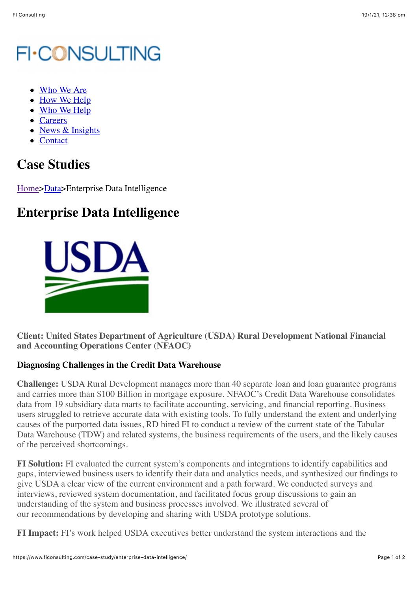## **FI-CONSULTING**

- [Who We Are](https://www.ficonsulting.com/who-we-are/)
- [How We Help](https://www.ficonsulting.com/how-we-help/)
- [Who We Help](https://www.ficonsulting.com/who-we-help/)
- [Careers](https://www.ficonsulting.com/careers/)
- [News & Insights](https://www.ficonsulting.com/news-insights/)
- [Contact](https://www.ficonsulting.com/contact/)

## **Case Studies**

[Home>](https://www.ficonsulting.com/)[Data](https://www.ficonsulting.com/fi-case-category/case-data/)>Enterprise Data Intelligence

## **Enterprise Data Intelligence**



**Client: United States Department of Agriculture (USDA) Rural Development National Financial and Accounting Operations Center (NFAOC)**

## **Diagnosing Challenges in the Credit Data Warehouse**

**Challenge:** USDA Rural Development manages more than 40 separate loan and loan guarantee programs and carries more than \$100 Billion in mortgage exposure. NFAOC's Credit Data Warehouse consolidates data from 19 subsidiary data marts to facilitate accounting, servicing, and financial reporting. Business users struggled to retrieve accurate data with existing tools. To fully understand the extent and underlying causes of the purported data issues, RD hired FI to conduct a review of the current state of the Tabular Data Warehouse (TDW) and related systems, the business requirements of the users, and the likely causes of the perceived shortcomings.

**FI Solution:** FI evaluated the current system's components and integrations to identify capabilities and gaps, interviewed business users to identify their data and analytics needs, and synthesized our findings to give USDA a clear view of the current environment and a path forward. We conducted surveys and interviews, reviewed system documentation, and facilitated focus group discussions to gain an understanding of the system and business processes involved. We illustrated several of our recommendations by developing and sharing with USDA prototype solutions.

**FI Impact:** FI's work helped USDA executives better understand the system interactions and the